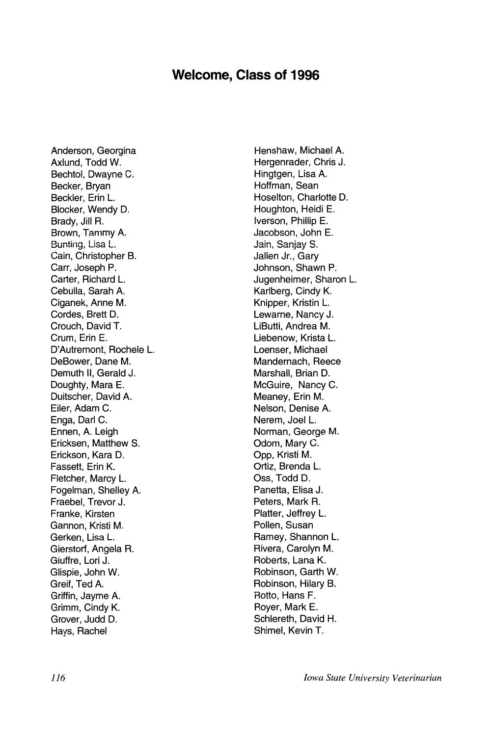## Welcome, Class of 1996

Anderson, Georgina Axlund. Todd W. Bechtol, Dwayne C. Becker, Bryan Beckler, Erin L. Blocker, Wendy D. Brady, Jill R. Brown, Tammy A. Bunting, Lisa L. Cain, Christopher B. Carr. Joseph P. Carter, Richard L. Cebulla, Sarah A. Ciganek, Anne M. Cordes. Brett D. Crouch. David T. Crum, Erin E. D'Autremont. Rochele L. DeBower, Dane M. Demuth II. Gerald J. Doughty, Mara E. Duitscher, David A. Eiler, Adam C. Enga, Darl C. Ennen, A. Leigh Ericksen, Matthew S. Erickson, Kara D. Fassett, Erin K. Fletcher, Marcy L. Fogelman, Shelley A. Fraebel, Trevor J. Franke, Kirsten Gannon, Kristi M. Gerken, Lisa L. Gierstorf, Angela R. Giuffre, Lori J. Glispie, John W. Greif, Ted A. Griffin, Javme A. Grimm, Cindy K. Grover, Judd D. Hays, Rachel

Henshaw, Michael A. Hergenrader, Chris J. Hingtgen, Lisa A. Hoffman, Sean Hoselton, Charlotte D. Houghton, Heidi E. Iverson, Phillip E. Jacobson, John E. Jain, Saniav S. Jallen Jr., Garv Johnson, Shawn P. Jugenheimer, Sharon L. Karlberg, Cindy K. Knipper, Kristin L. Lewarne, Nancy J. LiButti. Andrea M. Liebenow. Krista L. Loenser, Michael Mandernach, Reece Marshall. Brian D. McGuire, Nancy C. Meanev. Erin M. Nelson, Denise A. Nerem. Joel L. Norman, George M. Odom, Mary C. Opp. Kristi M. Ortiz. Brenda L. Oss. Todd D. Panetta. Elisa J. Peters, Mark R. Platter, Jeffrey L. Pollen, Susan Ramey, Shannon L. Rivera, Carolyn M. Roberts, Lana K. Robinson, Garth W. Robinson, Hilary B. Rotto, Hans F. Royer, Mark E. Schlereth, David H. Shimel. Kevin T.